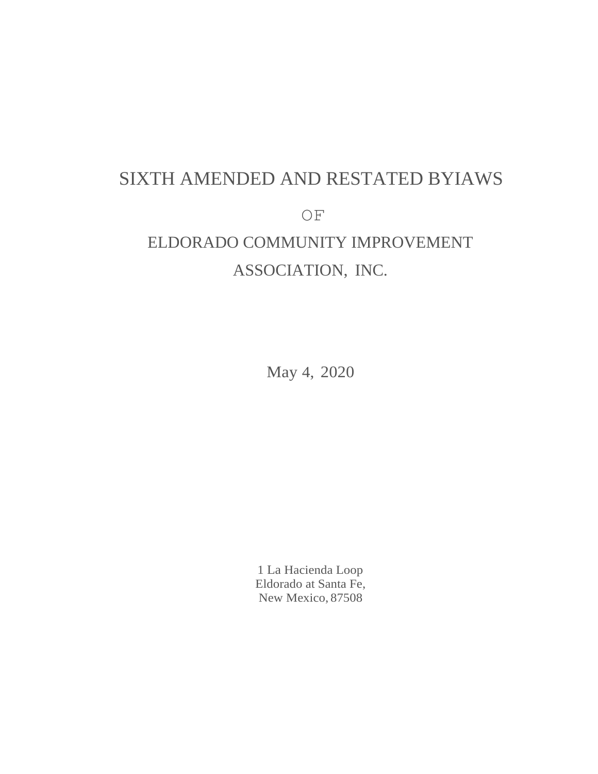# SIXTH AMENDED AND RESTATED BYIAWS OF ELDORADO COMMUNITY IMPROVEMENT ASSOCIATION, INC.

May 4, 2020

1 La Hacienda Loop Eldorado at Santa Fe, New Mexico, 87508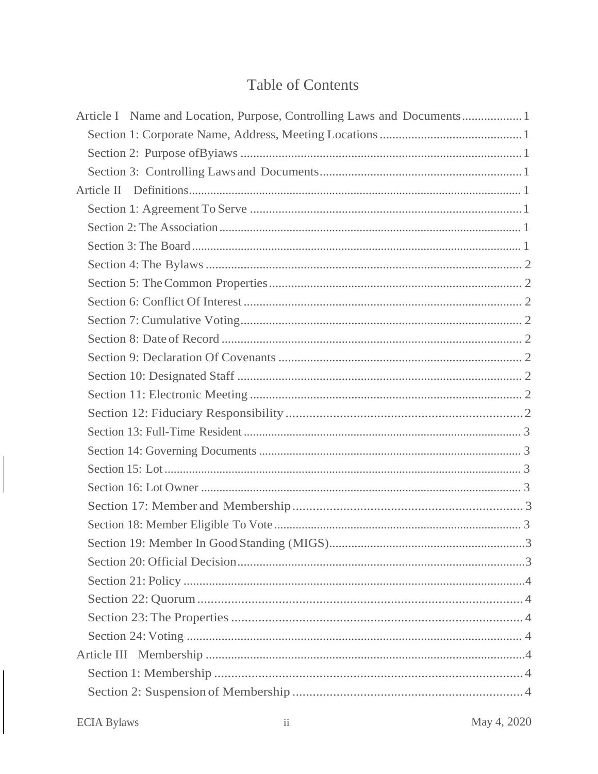## **Table of Contents**

 $\begin{array}{c} \hline \end{array}$ 

 $\mathsf{I}$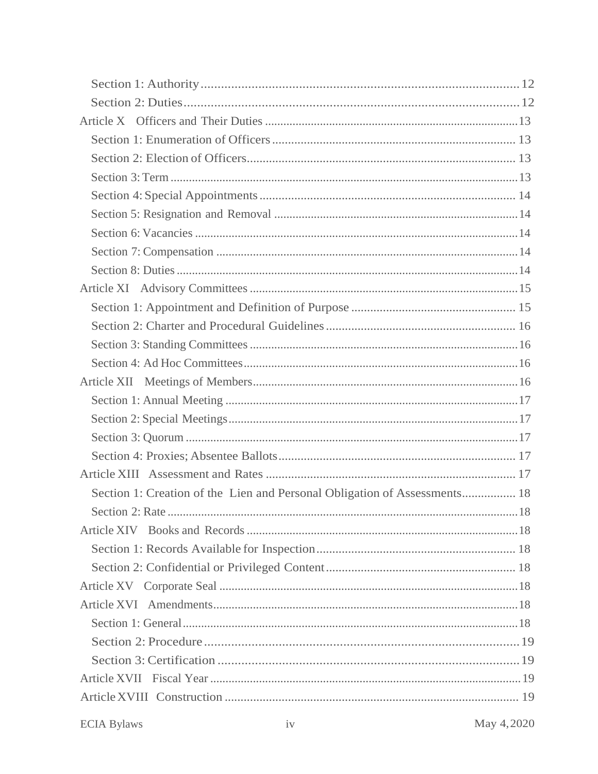| Section 1: Creation of the Lien and Personal Obligation of Assessments 18 |  |
|---------------------------------------------------------------------------|--|
|                                                                           |  |
|                                                                           |  |
|                                                                           |  |
|                                                                           |  |
|                                                                           |  |
|                                                                           |  |
|                                                                           |  |
|                                                                           |  |
|                                                                           |  |
|                                                                           |  |
|                                                                           |  |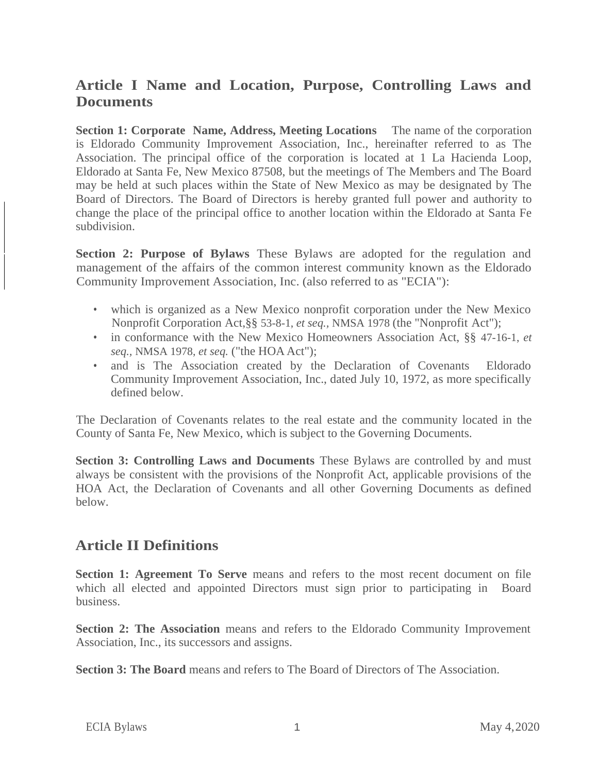### **Article I Name and Location, Purpose, Controlling Laws and Documents**

**Section 1: Corporate Name, Address, Meeting Locations** The name of the corporation is Eldorado Community Improvement Association, Inc., hereinafter referred to as The Association. The principal office of the corporation is located at 1 La Hacienda Loop, Eldorado at Santa Fe, New Mexico 87508, but the meetings of The Members and The Board may be held at such places within the State of New Mexico as may be designated by The Board of Directors. The Board of Directors is hereby granted full power and authority to change the place of the principal office to another location within the Eldorado at Santa Fe subdivision.

**Section 2: Purpose of Bylaws** These Bylaws are adopted for the regulation and management of the affairs of the common interest community known as the Eldorado Community Improvement Association, Inc. (also referred to as "ECIA"):

- which is organized as a New Mexico nonprofit corporation under the New Mexico Nonprofit Corporation Act,§§ 53-8-1, *et seq.,* NMSA 1978 (the "Nonprofit Act");
- in conformance with the New Mexico Homeowners Association Act, §§ 47-16-1, *et seq.,* NMSA 1978, *et seq.* ("the HOA Act");
- and is The Association created by the Declaration of Covenants Eldorado Community Improvement Association, Inc., dated July 10, 1972, as more specifically defined below.

The Declaration of Covenants relates to the real estate and the community located in the County of Santa Fe, New Mexico, which is subject to the Governing Documents.

**Section 3: Controlling Laws and Documents** These Bylaws are controlled by and must always be consistent with the provisions of the Nonprofit Act, applicable provisions of the HOA Act, the Declaration of Covenants and all other Governing Documents as defined below.

### **Article II Definitions**

**Section 1: Agreement To Serve** means and refers to the most recent document on file which all elected and appointed Directors must sign prior to participating in Board business.

**Section 2: The Association** means and refers to the Eldorado Community Improvement Association, Inc., its successors and assigns.

**Section 3: The Board** means and refers to The Board of Directors of The Association.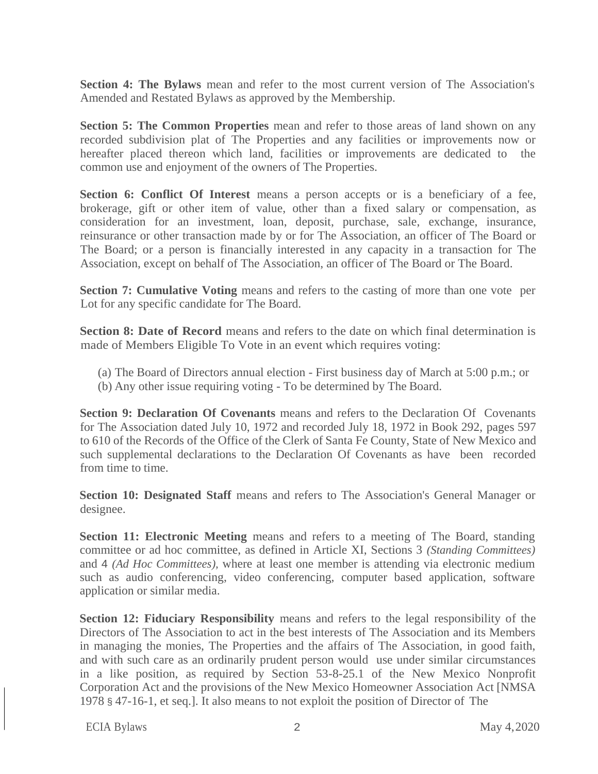**Section 4: The Bylaws** mean and refer to the most current version of The Association's Amended and Restated Bylaws as approved by the Membership.

**Section 5: The Common Properties** mean and refer to those areas of land shown on any recorded subdivision plat of The Properties and any facilities or improvements now or hereafter placed thereon which land, facilities or improvements are dedicated to the common use and enjoyment of the owners of The Properties.

Section 6: Conflict Of Interest means a person accepts or is a beneficiary of a fee, brokerage, gift or other item of value, other than a fixed salary or compensation, as consideration for an investment, loan, deposit, purchase, sale, exchange, insurance, reinsurance or other transaction made by or for The Association, an officer of The Board or The Board; or a person is financially interested in any capacity in a transaction for The Association, except on behalf of The Association, an officer of The Board or The Board.

**Section 7: Cumulative Voting** means and refers to the casting of more than one vote per Lot for any specific candidate for The Board.

**Section 8: Date of Record** means and refers to the date on which final determination is made of Members Eligible To Vote in an event which requires voting:

- (a) The Board of Directors annual election First business day of March at 5:00 p.m.; or
- (b) Any other issue requiring voting To be determined by The Board.

**Section 9: Declaration Of Covenants** means and refers to the Declaration Of Covenants for The Association dated July 10, 1972 and recorded July 18, 1972 in Book 292, pages 597 to 610 of the Records of the Office of the Clerk of Santa Fe County, State of New Mexico and such supplemental declarations to the Declaration Of Covenants as have been recorded from time to time.

**Section 10: Designated Staff** means and refers to The Association's General Manager or designee.

**Section 11: Electronic Meeting** means and refers to a meeting of The Board, standing committee or ad hoc committee, as defined in Article XI, Sections 3 *(Standing Committees)*  and 4 *(Ad Hoc Committees),* where at least one member is attending via electronic medium such as audio conferencing, video conferencing, computer based application, software application or similar media.

**Section 12: Fiduciary Responsibility** means and refers to the legal responsibility of the Directors of The Association to act in the best interests of The Association and its Members in managing the monies, The Properties and the affairs of The Association, in good faith, and with such care as an ordinarily prudent person would use under similar circumstances in a like position, as required by Section 53-8-25.1 of the New Mexico Nonprofit Corporation Act and the provisions of the New Mexico Homeowner Association Act [NMSA 1978 § 47-16-1, et seq.]. It also means to not exploit the position of Director of The

ECIA Bylaws 2 May 4,2020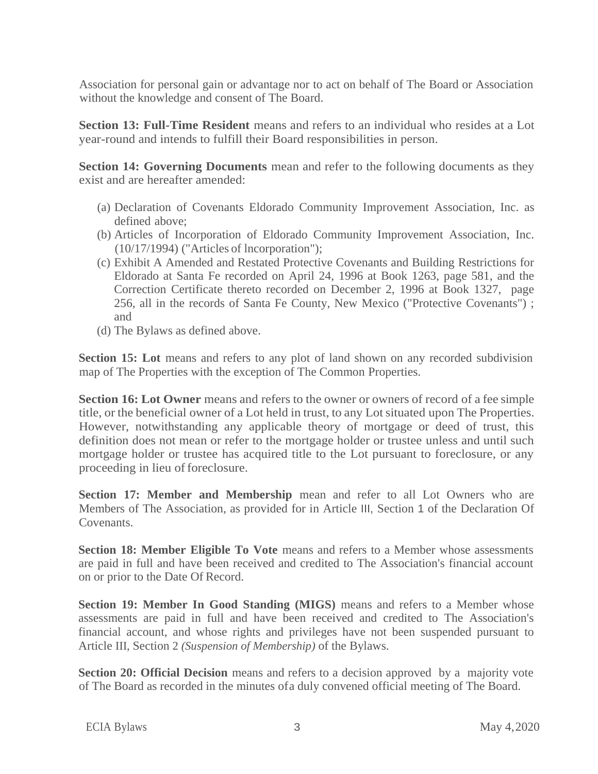Association for personal gain or advantage nor to act on behalf of The Board or Association without the knowledge and consent of The Board.

**Section 13: Full-Time Resident** means and refers to an individual who resides at a Lot year-round and intends to fulfill their Board responsibilities in person.

**Section 14: Governing Documents** mean and refer to the following documents as they exist and are hereafter amended:

- (a) Declaration of Covenants Eldorado Community Improvement Association, Inc. as defined above;
- (b) Articles of Incorporation of Eldorado Community Improvement Association, Inc. (10/17/1994) ("Articles of lncorporation");
- (c) Exhibit A Amended and Restated Protective Covenants and Building Restrictions for Eldorado at Santa Fe recorded on April 24, 1996 at Book 1263, page 581, and the Correction Certificate thereto recorded on December 2, 1996 at Book 1327, page 256, all in the records of Santa Fe County, New Mexico ("Protective Covenants") ; and
- (d) The Bylaws as defined above.

**Section 15:** Lot means and refers to any plot of land shown on any recorded subdivision map of The Properties with the exception of The Common Properties.

**Section 16: Lot Owner** means and refers to the owner or owners of record of a fee simple title, or the beneficial owner of a Lot held in trust, to any Lotsituated upon The Properties. However, notwithstanding any applicable theory of mortgage or deed of trust, this definition does not mean or refer to the mortgage holder or trustee unless and until such mortgage holder or trustee has acquired title to the Lot pursuant to foreclosure, or any proceeding in lieu of foreclosure.

**Section 17: Member and Membership** mean and refer to all Lot Owners who are Members of The Association, as provided for in Article III, Section 1 of the Declaration Of Covenants.

**Section 18: Member Eligible To Vote** means and refers to a Member whose assessments are paid in full and have been received and credited to The Association's financial account on or prior to the Date Of Record.

**Section 19: Member In Good Standing (MIGS)** means and refers to a Member whose assessments are paid in full and have been received and credited to The Association's financial account, and whose rights and privileges have not been suspended pursuant to Article III, Section 2 *(Suspension of Membership)* of the Bylaws.

**Section 20: Official Decision** means and refers to a decision approved by a majority vote of The Board as recorded in the minutes ofa duly convened official meeting of The Board.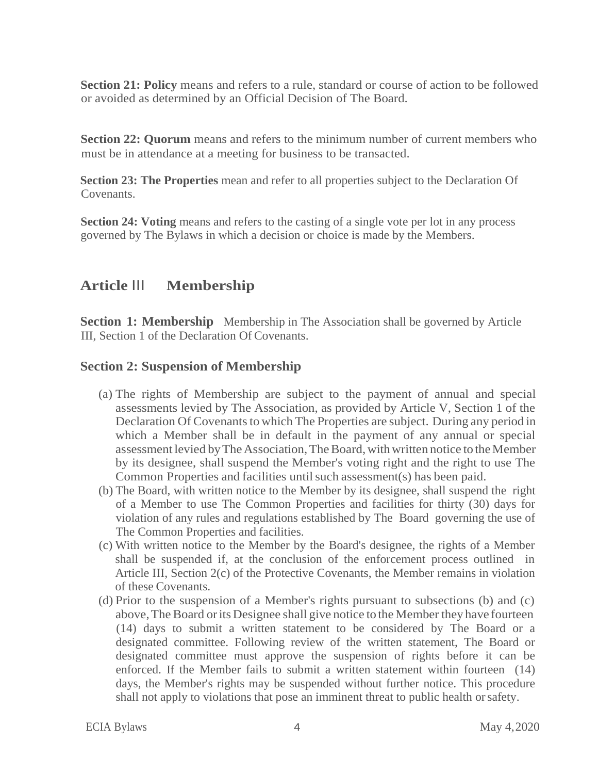**Section 21: Policy** means and refers to a rule, standard or course of action to be followed or avoided as determined by an Official Decision of The Board.

**Section 22: Quorum** means and refers to the minimum number of current members who must be in attendance at a meeting for business to be transacted.

**Section 23: The Properties** mean and refer to all properties subject to the Declaration Of Covenants.

**Section 24: Voting means and refers to the casting of a single vote per lot in any process** governed by The Bylaws in which a decision or choice is made by the Members.

### **Article** III **Membership**

**Section 1: Membership** Membership in The Association shall be governed by Article III, Section 1 of the Declaration Of Covenants.

### **Section 2: Suspension of Membership**

- (a) The rights of Membership are subject to the payment of annual and special assessments levied by The Association, as provided by Article V, Section 1 of the Declaration Of Covenants to which The Properties are subject. During any period in which a Member shall be in default in the payment of any annual or special assessment levied by The Association, The Board, with written notice to the Member by its designee, shall suspend the Member's voting right and the right to use The Common Properties and facilities untilsuch assessment(s) has been paid.
- (b) The Board, with written notice to the Member by its designee, shall suspend the right of a Member to use The Common Properties and facilities for thirty (30) days for violation of any rules and regulations established by The Board governing the use of The Common Properties and facilities.
- (c) With written notice to the Member by the Board's designee, the rights of a Member shall be suspended if, at the conclusion of the enforcement process outlined in Article III, Section 2(c) of the Protective Covenants, the Member remains in violation of these Covenants.
- (d) Prior to the suspension of a Member's rights pursuant to subsections (b) and (c) above, The Board or its Designee shall give notice to the Member they have fourteen (14) days to submit a written statement to be considered by The Board or a designated committee. Following review of the written statement, The Board or designated committee must approve the suspension of rights before it can be enforced. If the Member fails to submit a written statement within fourteen (14) days, the Member's rights may be suspended without further notice. This procedure shall not apply to violations that pose an imminent threat to public health orsafety.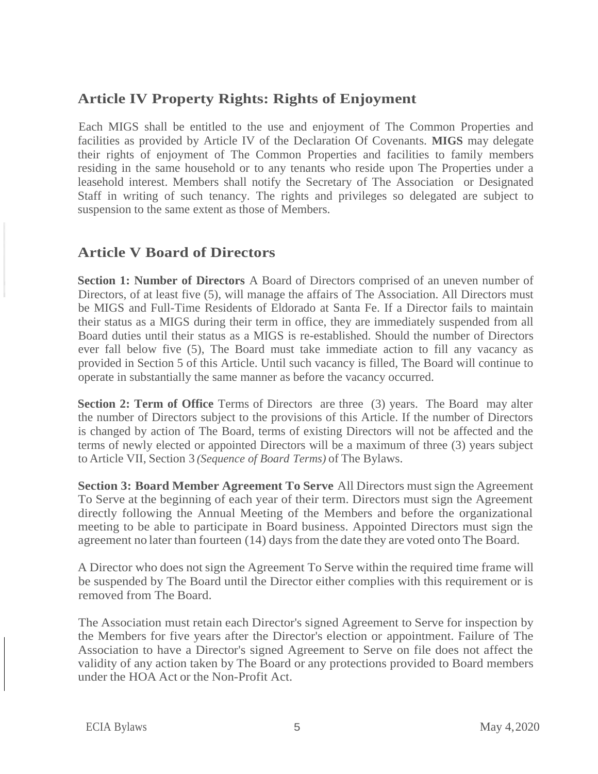### **Article IV Property Rights: Rights of Enjoyment**

Each MIGS shall be entitled to the use and enjoyment of The Common Properties and facilities as provided by Article IV of the Declaration Of Covenants. **MIGS** may delegate their rights of enjoyment of The Common Properties and facilities to family members residing in the same household or to any tenants who reside upon The Properties under a leasehold interest. Members shall notify the Secretary of The Association or Designated Staff in writing of such tenancy. The rights and privileges so delegated are subject to suspension to the same extent as those of Members.

### **Article V Board of Directors**

**Section 1: Number of Directors** A Board of Directors comprised of an uneven number of Directors, of at least five (5), will manage the affairs of The Association. All Directors must be MIGS and Full-Time Residents of Eldorado at Santa Fe. If a Director fails to maintain their status as a MIGS during their term in office, they are immediately suspended from all Board duties until their status as a MIGS is re-established. Should the number of Directors ever fall below five (5), The Board must take immediate action to fill any vacancy as provided in Section 5 of this Article. Until such vacancy is filled, The Board will continue to operate in substantially the same manner as before the vacancy occurred.

**Section 2: Term of Office** Terms of Directors are three (3) years. The Board may alter the number of Directors subject to the provisions of this Article. If the number of Directors is changed by action of The Board, terms of existing Directors will not be affected and the terms of newly elected or appointed Directors will be a maximum of three (3) years subject to Article VII, Section 3 *(Sequence of Board Terms)* of The Bylaws.

**Section 3: Board Member Agreement To Serve** All Directors mustsign the Agreement To Serve at the beginning of each year of their term. Directors must sign the Agreement directly following the Annual Meeting of the Members and before the organizational meeting to be able to participate in Board business. Appointed Directors must sign the agreement no later than fourteen (14) days from the date they are voted onto The Board.

A Director who does notsign the Agreement To Serve within the required time frame will be suspended by The Board until the Director either complies with this requirement or is removed from The Board.

The Association must retain each Director's signed Agreement to Serve for inspection by the Members for five years after the Director's election or appointment. Failure of The Association to have a Director's signed Agreement to Serve on file does not affect the validity of any action taken by The Board or any protections provided to Board members under the HOA Act or the Non-Profit Act.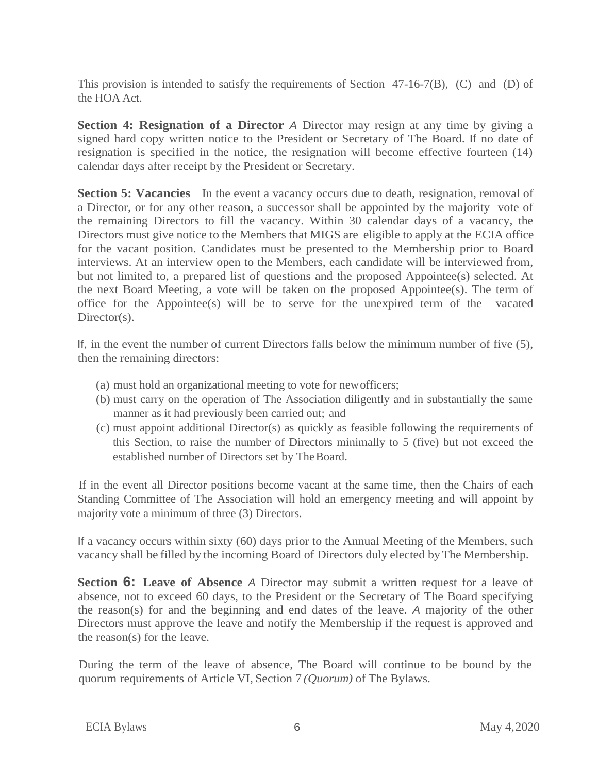This provision is intended to satisfy the requirements of Section 47-16-7(B), (C) and (D) of the HOA Act.

**Section 4: Resignation of a Director** *A* Director may resign at any time by giving a signed hard copy written notice to the President or Secretary of The Board. If no date of resignation is specified in the notice, the resignation will become effective fourteen (14) calendar days after receipt by the President or Secretary.

**Section 5: Vacancies** In the event a vacancy occurs due to death, resignation, removal of a Director, or for any other reason, a successor shall be appointed by the majority vote of the remaining Directors to fill the vacancy. Within 30 calendar days of a vacancy, the Directors must give notice to the Members that MIGS are eligible to apply at the ECIA office for the vacant position. Candidates must be presented to the Membership prior to Board interviews. At an interview open to the Members, each candidate will be interviewed from, but not limited to, a prepared list of questions and the proposed Appointee(s) selected. At the next Board Meeting, a vote will be taken on the proposed Appointee(s). The term of office for the Appointee(s) will be to serve for the unexpired term of the vacated Director(s).

If, in the event the number of current Directors falls below the minimum number of five (5), then the remaining directors:

- (a) must hold an organizational meeting to vote for newofficers;
- (b) must carry on the operation of The Association diligently and in substantially the same manner as it had previously been carried out; and
- (c) must appoint additional Director(s) as quickly as feasible following the requirements of this Section, to raise the number of Directors minimally to 5 (five) but not exceed the established number of Directors set by The Board.

If in the event all Director positions become vacant at the same time, then the Chairs of each Standing Committee of The Association will hold an emergency meeting and will appoint by majority vote a minimum of three (3) Directors.

If a vacancy occurs within sixty (60) days prior to the Annual Meeting of the Members, such vacancy shall be filled by the incoming Board of Directors duly elected byThe Membership.

**Section 6: Leave of Absence** *A* Director may submit a written request for a leave of absence, not to exceed 60 days, to the President or the Secretary of The Board specifying the reason(s) for and the beginning and end dates of the leave. *A* majority of the other Directors must approve the leave and notify the Membership if the request is approved and the reason(s) for the leave.

During the term of the leave of absence, The Board will continue to be bound by the quorum requirements of Article VI, Section 7 *(Quorum)* of The Bylaws.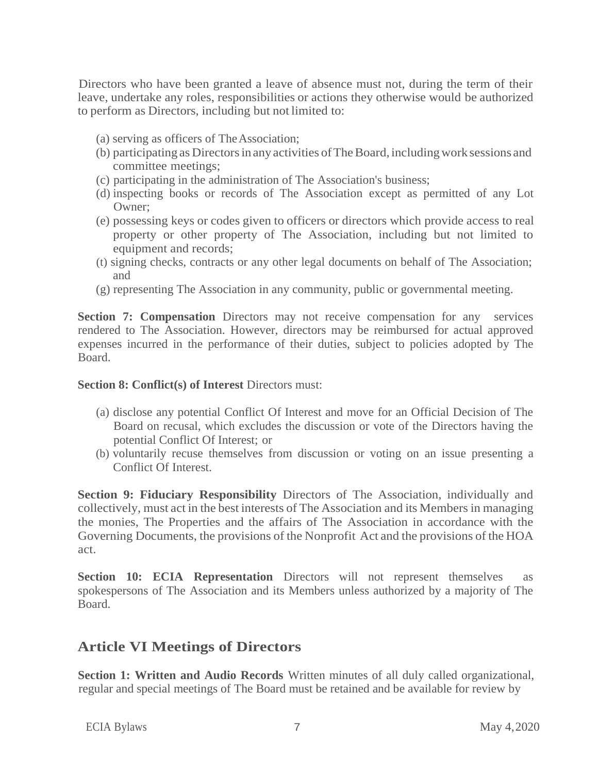Directors who have been granted a leave of absence must not, during the term of their leave, undertake any roles, responsibilities or actions they otherwise would be authorized to perform as Directors, including but not limited to:

- (a) serving as officers of TheAssociation;
- (b) participating as Directorsinany activities ofTheBoard, includingwork sessions and committee meetings;
- (c) participating in the administration of The Association's business;
- (d) inspecting books or records of The Association except as permitted of any Lot Owner;
- (e) possessing keys or codes given to officers or directors which provide access to real property or other property of The Association, including but not limited to equipment and records;
- (t) signing checks, contracts or any other legal documents on behalf of The Association; and
- (g) representing The Association in any community, public or governmental meeting.

**Section 7: Compensation** Directors may not receive compensation for any services rendered to The Association. However, directors may be reimbursed for actual approved expenses incurred in the performance of their duties, subject to policies adopted by The Board.

#### **Section 8: Conflict(s) of Interest Directors must:**

- (a) disclose any potential Conflict Of Interest and move for an Official Decision of The Board on recusal, which excludes the discussion or vote of the Directors having the potential Conflict Of Interest; or
- (b) voluntarily recuse themselves from discussion or voting on an issue presenting a Conflict Of Interest.

**Section 9: Fiduciary Responsibility** Directors of The Association, individually and collectively, must act in the best interests of The Association and its Members in managing the monies, The Properties and the affairs of The Association in accordance with the Governing Documents, the provisions of the Nonprofit Act and the provisions of the HOA act.

**Section 10: ECIA Representation** Directors will not represent themselves as spokespersons of The Association and its Members unless authorized by a majority of The Board.

### **Article VI Meetings of Directors**

**Section 1: Written and Audio Records** Written minutes of all duly called organizational, regular and special meetings of The Board must be retained and be available for review by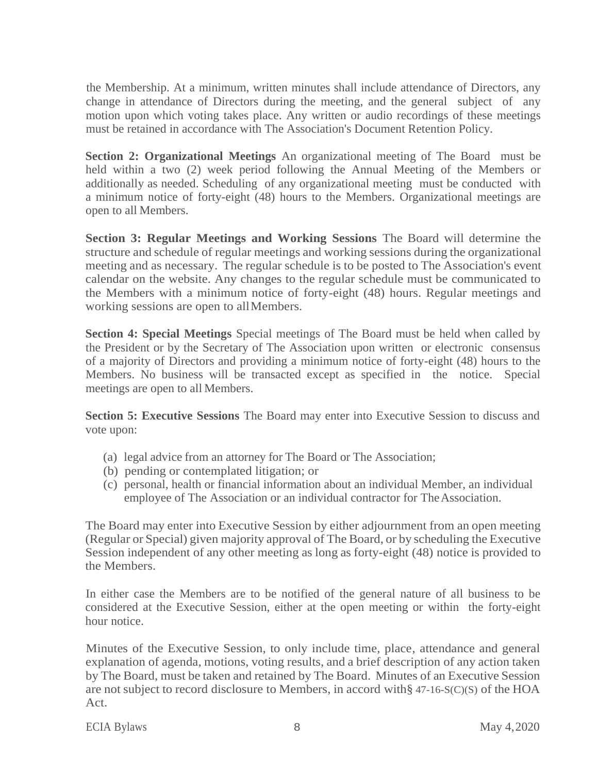the Membership. At a minimum, written minutes shall include attendance of Directors, any change in attendance of Directors during the meeting, and the general subject of any motion upon which voting takes place. Any written or audio recordings of these meetings must be retained in accordance with The Association's Document Retention Policy.

**Section 2: Organizational Meetings** An organizational meeting of The Board must be held within a two (2) week period following the Annual Meeting of the Members or additionally as needed. Scheduling of any organizational meeting must be conducted with a minimum notice of forty-eight (48) hours to the Members. Organizational meetings are open to all Members.

**Section 3: Regular Meetings and Working Sessions** The Board will determine the structure and schedule of regular meetings and working sessions during the organizational meeting and as necessary. The regular schedule is to be posted to The Association's event calendar on the website. Any changes to the regular schedule must be communicated to the Members with a minimum notice of forty-eight (48) hours. Regular meetings and working sessions are open to allMembers.

**Section 4: Special Meetings** Special meetings of The Board must be held when called by the President or by the Secretary of The Association upon written or electronic consensus of a majority of Directors and providing a minimum notice of forty-eight (48) hours to the Members. No business will be transacted except as specified in the notice. Special meetings are open to all Members.

**Section 5: Executive Sessions** The Board may enter into Executive Session to discuss and vote upon:

- (a) legal advice from an attorney for The Board or The Association;
- (b) pending or contemplated litigation; or
- (c) personal, health or financial information about an individual Member, an individual employee of The Association or an individual contractor for The Association.

The Board may enter into Executive Session by either adjournment from an open meeting (Regular or Special) given majority approval of The Board, or by scheduling the Executive Session independent of any other meeting as long as forty-eight (48) notice is provided to the Members.

In either case the Members are to be notified of the general nature of all business to be considered at the Executive Session, either at the open meeting or within the forty-eight hour notice.

Minutes of the Executive Session, to only include time, place, attendance and general explanation of agenda, motions, voting results, and a brief description of any action taken by The Board, must be taken and retained by The Board. Minutes of an Executive Session are not subject to record disclosure to Members, in accord with§ 47-16-S(C)(S) of the HOA Act.

ECIA Bylaws 8 May 4,2020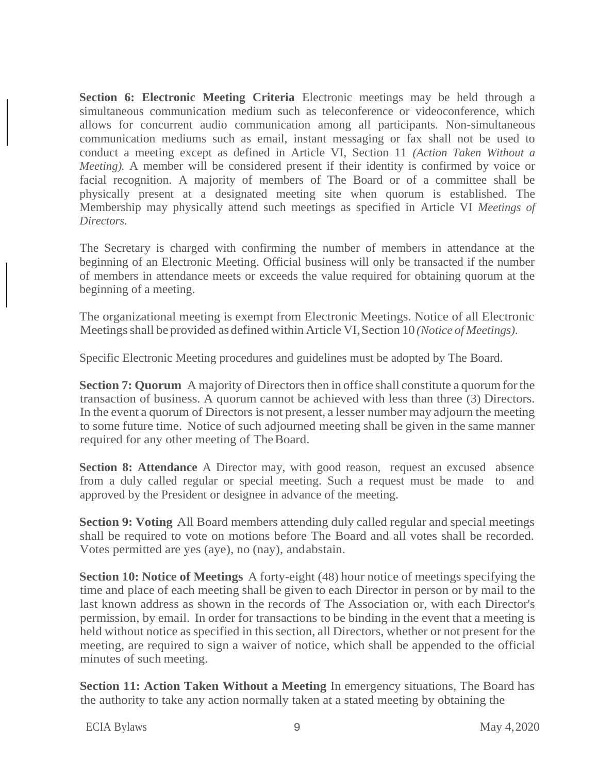**Section 6: Electronic Meeting Criteria** Electronic meetings may be held through a simultaneous communication medium such as teleconference or videoconference, which allows for concurrent audio communication among all participants. Non-simultaneous communication mediums such as email, instant messaging or fax shall not be used to conduct a meeting except as defined in Article VI, Section 11 *(Action Taken Without a Meeting).* A member will be considered present if their identity is confirmed by voice or facial recognition. A majority of members of The Board or of a committee shall be physically present at a designated meeting site when quorum is established. The Membership may physically attend such meetings as specified in Article VI *Meetings of Directors.*

The Secretary is charged with confirming the number of members in attendance at the beginning of an Electronic Meeting. Official business will only be transacted if the number of members in attendance meets or exceeds the value required for obtaining quorum at the beginning of a meeting.

The organizational meeting is exempt from Electronic Meetings. Notice of all Electronic Meetingsshall be provided as defined within Article VI,Section 10 *(Notice of Meetings).*

Specific Electronic Meeting procedures and guidelines must be adopted by The Board.

**Section 7: Quorum** A majority of Directors then in office shall constitute a quorum for the transaction of business. A quorum cannot be achieved with less than three (3) Directors. In the event a quorum of Directors is not present, a lesser number may adjourn the meeting to some future time. Notice of such adjourned meeting shall be given in the same manner required for any other meeting of The Board.

**Section 8: Attendance** A Director may, with good reason, request an excused absence from a duly called regular or special meeting. Such a request must be made to and approved by the President or designee in advance of the meeting.

**Section 9: Voting** All Board members attending duly called regular and special meetings shall be required to vote on motions before The Board and all votes shall be recorded. Votes permitted are yes (aye), no (nay), andabstain.

**Section 10: Notice of Meetings** A forty-eight (48) hour notice of meetings specifying the time and place of each meeting shall be given to each Director in person or by mail to the last known address as shown in the records of The Association or, with each Director's permission, by email. In order for transactions to be binding in the event that a meeting is held without notice as specified in this section, all Directors, whether or not present for the meeting, are required to sign a waiver of notice, which shall be appended to the official minutes of such meeting.

**Section 11: Action Taken Without a Meeting** In emergency situations, The Board has the authority to take any action normally taken at a stated meeting by obtaining the

ECIA Bylaws 9 May 4,2020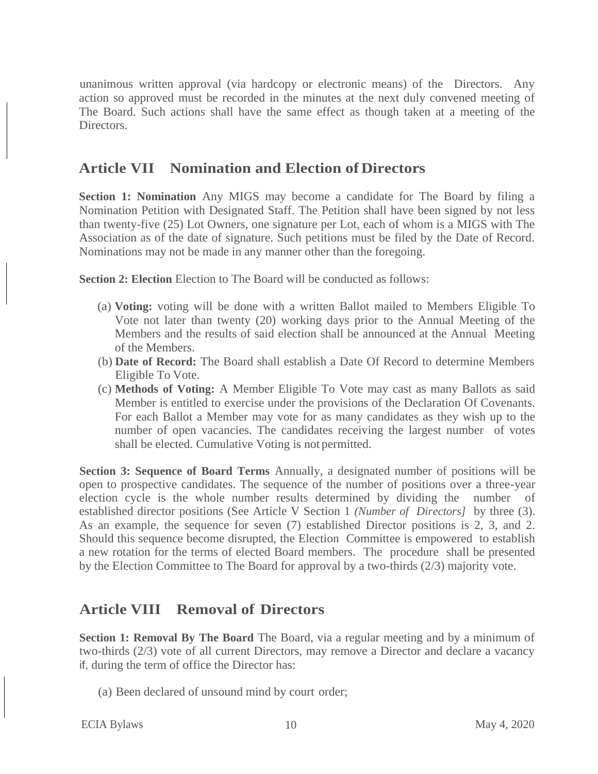unanimous written approval (via hardcopy or electronic means) of the Directors. Any action so approved must be recorded in the minutes at the next duly convened meeting of The Board. Such actions shall have the same effect as though taken at a meeting of the Directors.

### **Article VII Nomination and Election of Directors**

**Section 1: Nomination** Any MIGS may become a candidate for The Board by filing a Nomination Petition with Designated Staff. The Petition shall have been signed by not less than twenty-five (25) Lot Owners, one signature per Lot, each of whom is a MIGS with The Association as of the date of signature. Such petitions must be filed by the Date of Record. Nominations may not be made in any manner other than the foregoing.

**Section 2: Election** Election to The Board will be conducted as follows:

- (a) **Voting:** voting will be done with a written Ballot mailed to Members Eligible To Vote not later than twenty (20) working days prior to the Annual Meeting of the Members and the results of said election shall be announced at the Annual Meeting of the Members.
- (b) **Date of Record:** The Board shall establish a Date Of Record to determine Members Eligible To Vote.
- (c) **Methods of Voting:** A Member Eligible To Vote may cast as many Ballots as said Member is entitled to exercise under the provisions of the Declaration Of Covenants. For each Ballot a Member may vote for as many candidates as they wish up to the number of open vacancies. The candidates receiving the largest number of votes shall be elected. Cumulative Voting is not permitted.

**Section 3: Sequence of Board Terms** Annually, a designated number of positions will be open to prospective candidates. The sequence of the number of positions over a three-year election cycle is the whole number results determined by dividing the number of established director positions (See Article V Section 1 *(Number of Directors]* by three (3). As an example, the sequence for seven (7) established Director positions is 2, 3, and 2. Should this sequence become disrupted, the Election Committee is empowered to establish a new rotation for the terms of elected Board members. The procedure shall be presented by the Election Committee to The Board for approval by a two-thirds (2/3) majority vote.

### **Article VIII Removal of Directors**

**Section 1: Removal By The Board** The Board, via a regular meeting and by a minimum of two-thirds (2/3) vote of all current Directors, may remove a Director and declare a vacancy if, during the term of office the Director has:

(a) Been declared of unsound mind by court order;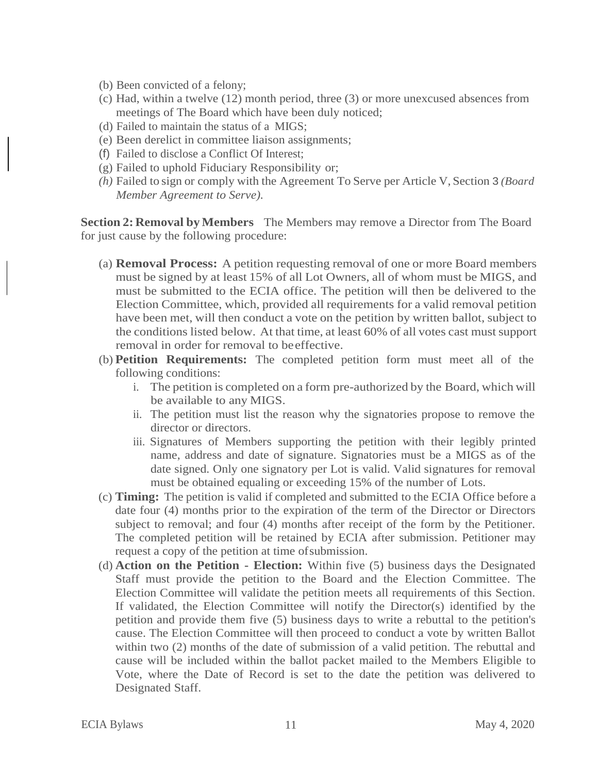- (b) Been convicted of a felony;
- (c) Had, within a twelve (12) month period, three (3) or more unexcused absences from meetings of The Board which have been duly noticed;
- (d) Failed to maintain the status of a MIGS;
- (e) Been derelict in committee liaison assignments;
- (f) Failed to disclose a Conflict Of Interest;
- (g) Failed to uphold Fiduciary Responsibility or;
- *(h)* Failed to sign or comply with the Agreement To Serve per Article V, Section 3 *(Board Member Agreement to Serve).*

**Section 2: Removal by Members** The Members may remove a Director from The Board for just cause by the following procedure:

- (a) **Removal Process:** A petition requesting removal of one or more Board members must be signed by at least 15% of all Lot Owners, all of whom must be MIGS, and must be submitted to the ECIA office. The petition will then be delivered to the Election Committee, which, provided all requirements for a valid removal petition have been met, will then conduct a vote on the petition by written ballot, subject to the conditions listed below. At that time, at least 60% of all votes cast mustsupport removal in order for removal to beeffective.
- (b) **Petition Requirements:** The completed petition form must meet all of the following conditions:
	- i. The petition is completed on a form pre-authorized by the Board, which will be available to any MIGS.
	- ii. The petition must list the reason why the signatories propose to remove the director or directors.
	- iii. Signatures of Members supporting the petition with their legibly printed name, address and date of signature. Signatories must be a MIGS as of the date signed. Only one signatory per Lot is valid. Valid signatures for removal must be obtained equaling or exceeding 15% of the number of Lots.
- (c) **Timing:** The petition is valid if completed and submitted to the ECIA Office before a date four (4) months prior to the expiration of the term of the Director or Directors subject to removal; and four (4) months after receipt of the form by the Petitioner. The completed petition will be retained by ECIA after submission. Petitioner may request a copy of the petition at time ofsubmission.
- (d) **Action on the Petition - Election:** Within five (5) business days the Designated Staff must provide the petition to the Board and the Election Committee. The Election Committee will validate the petition meets all requirements of this Section. If validated, the Election Committee will notify the Director(s) identified by the petition and provide them five (5) business days to write a rebuttal to the petition's cause. The Election Committee will then proceed to conduct a vote by written Ballot within two (2) months of the date of submission of a valid petition. The rebuttal and cause will be included within the ballot packet mailed to the Members Eligible to Vote, where the Date of Record is set to the date the petition was delivered to Designated Staff.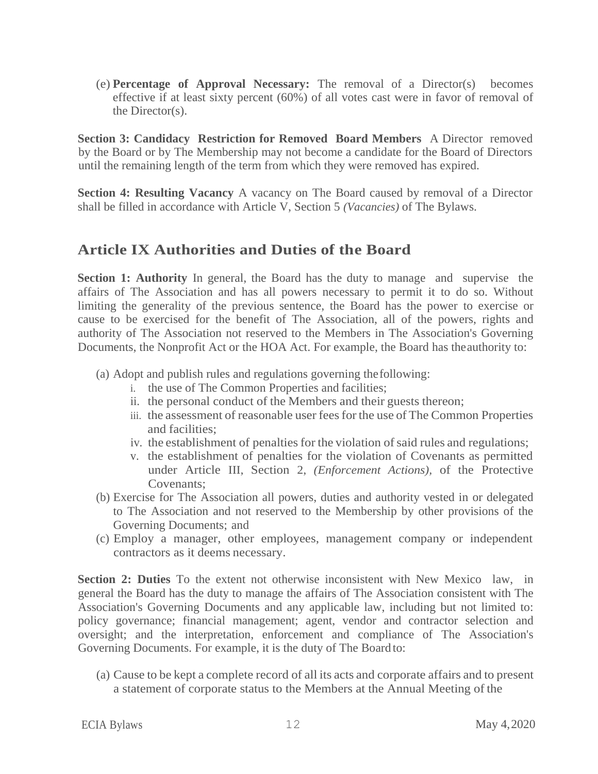(e) **Percentage of Approval Necessary:** The removal of a Director(s) becomes effective if at least sixty percent (60%) of all votes cast were in favor of removal of the Director(s).

**Section 3: Candidacy Restriction for Removed Board Members** A Director removed by the Board or by The Membership may not become a candidate for the Board of Directors until the remaining length of the term from which they were removed has expired.

**Section 4: Resulting Vacancy** A vacancy on The Board caused by removal of a Director shall be filled in accordance with Article V, Section 5 *(Vacancies)* of The Bylaws.

### **Article IX Authorities and Duties of the Board**

**Section 1: Authority** In general, the Board has the duty to manage and supervise the affairs of The Association and has all powers necessary to permit it to do so. Without limiting the generality of the previous sentence, the Board has the power to exercise or cause to be exercised for the benefit of The Association, all of the powers, rights and authority of The Association not reserved to the Members in The Association's Governing Documents, the Nonprofit Act or the HOA Act. For example, the Board has theauthority to:

- (a) Adopt and publish rules and regulations governing thefollowing:
	- i. the use of The Common Properties and facilities;
	- ii. the personal conduct of the Members and their guests thereon;
	- iii. the assessment of reasonable user feesfor the use of The Common Properties and facilities;
	- iv. the establishment of penalties for the violation of said rules and regulations;
	- v. the establishment of penalties for the violation of Covenants as permitted under Article III, Section 2, *(Enforcement Actions),* of the Protective Covenants;
- (b) Exercise for The Association all powers, duties and authority vested in or delegated to The Association and not reserved to the Membership by other provisions of the Governing Documents; and
- (c) Employ a manager, other employees, management company or independent contractors as it deems necessary.

**Section 2: Duties** To the extent not otherwise inconsistent with New Mexico law, in general the Board has the duty to manage the affairs of The Association consistent with The Association's Governing Documents and any applicable law, including but not limited to: policy governance; financial management; agent, vendor and contractor selection and oversight; and the interpretation, enforcement and compliance of The Association's Governing Documents. For example, it is the duty of The Board to:

(a) Cause to be kept a complete record of all its acts and corporate affairs and to present a statement of corporate status to the Members at the Annual Meeting of the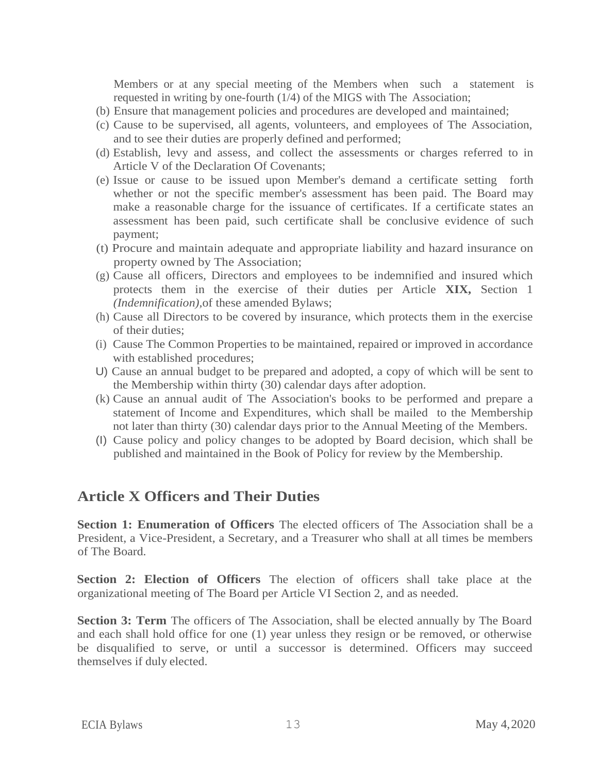Members or at any special meeting of the Members when such a statement is requested in writing by one-fourth (1/4) of the MIGS with The Association;

- (b) Ensure that management policies and procedures are developed and maintained;
- (c) Cause to be supervised, all agents, volunteers, and employees of The Association, and to see their duties are properly defined and performed;
- (d) Establish, levy and assess, and collect the assessments or charges referred to in Article V of the Declaration Of Covenants;
- (e) Issue or cause to be issued upon Member's demand a certificate setting forth whether or not the specific member's assessment has been paid. The Board may make a reasonable charge for the issuance of certificates. If a certificate states an assessment has been paid, such certificate shall be conclusive evidence of such payment;
- (t) Procure and maintain adequate and appropriate liability and hazard insurance on property owned by The Association;
- (g) Cause all officers, Directors and employees to be indemnified and insured which protects them in the exercise of their duties per Article **XIX,** Section 1 *(Indemnification),*of these amended Bylaws;
- (h) Cause all Directors to be covered by insurance, which protects them in the exercise of their duties;
- (i) Cause The Common Properties to be maintained, repaired or improved in accordance with established procedures;
- U) Cause an annual budget to be prepared and adopted, a copy of which will be sent to the Membership within thirty (30) calendar days after adoption.
- (k) Cause an annual audit of The Association's books to be performed and prepare a statement of Income and Expenditures, which shall be mailed to the Membership not later than thirty (30) calendar days prior to the Annual Meeting of the Members.
- (I) Cause policy and policy changes to be adopted by Board decision, which shall be published and maintained in the Book of Policy for review by the Membership.

### **Article X Officers and Their Duties**

**Section 1: Enumeration of Officers** The elected officers of The Association shall be a President, a Vice-President, a Secretary, and a Treasurer who shall at all times be members of The Board.

**Section 2: Election of Officers** The election of officers shall take place at the organizational meeting of The Board per Article VI Section 2, and as needed.

**Section 3: Term** The officers of The Association, shall be elected annually by The Board and each shall hold office for one (1) year unless they resign or be removed, or otherwise be disqualified to serve, or until a successor is determined. Officers may succeed themselves if duly elected.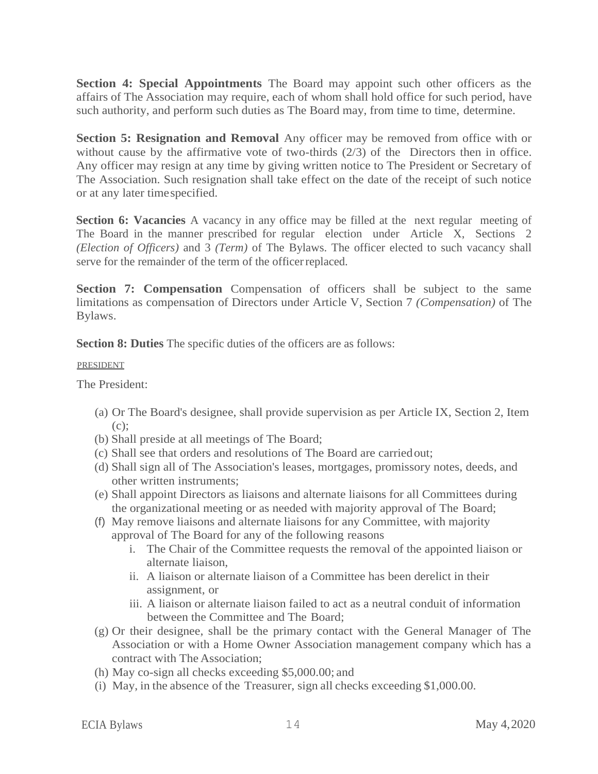**Section 4: Special Appointments** The Board may appoint such other officers as the affairs of The Association may require, each of whom shall hold office for such period, have such authority, and perform such duties as The Board may, from time to time, determine.

**Section 5: Resignation and Removal** Any officer may be removed from office with or without cause by the affirmative vote of two-thirds (2/3) of the Directors then in office. Any officer may resign at any time by giving written notice to The President or Secretary of The Association. Such resignation shall take effect on the date of the receipt of such notice or at any later timespecified.

**Section 6: Vacancies** A vacancy in any office may be filled at the next regular meeting of The Board in the manner prescribed for regular election under Article X, Sections 2 *(Election of Officers)* and 3 *(Term)* of The Bylaws. The officer elected to such vacancy shall serve for the remainder of the term of the officer replaced.

**Section 7: Compensation** Compensation of officers shall be subject to the same limitations as compensation of Directors under Article V, Section 7 *(Compensation)* of The Bylaws.

**Section 8: Duties** The specific duties of the officers are as follows:

#### PRESIDENT

The President:

- (a) Or The Board's designee, shall provide supervision as per Article IX, Section 2, Item  $(c)$ :
- (b) Shall preside at all meetings of The Board;
- (c) Shall see that orders and resolutions of The Board are carriedout;
- (d) Shall sign all of The Association's leases, mortgages, promissory notes, deeds, and other written instruments;
- (e) Shall appoint Directors as liaisons and alternate liaisons for all Committees during the organizational meeting or as needed with majority approval of The Board;
- (f) May remove liaisons and alternate liaisons for any Committee, with majority approval of The Board for any of the following reasons
	- i. The Chair of the Committee requests the removal of the appointed liaison or alternate liaison,
	- ii. A liaison or alternate liaison of a Committee has been derelict in their assignment, or
	- iii. A liaison or alternate liaison failed to act as a neutral conduit of information between the Committee and The Board;
- (g) Or their designee, shall be the primary contact with the General Manager of The Association or with a Home Owner Association management company which has a contract with The Association;
- (h) May co-sign all checks exceeding \$5,000.00; and
- (i) May, in the absence of the Treasurer, sign all checks exceeding \$1,000.00.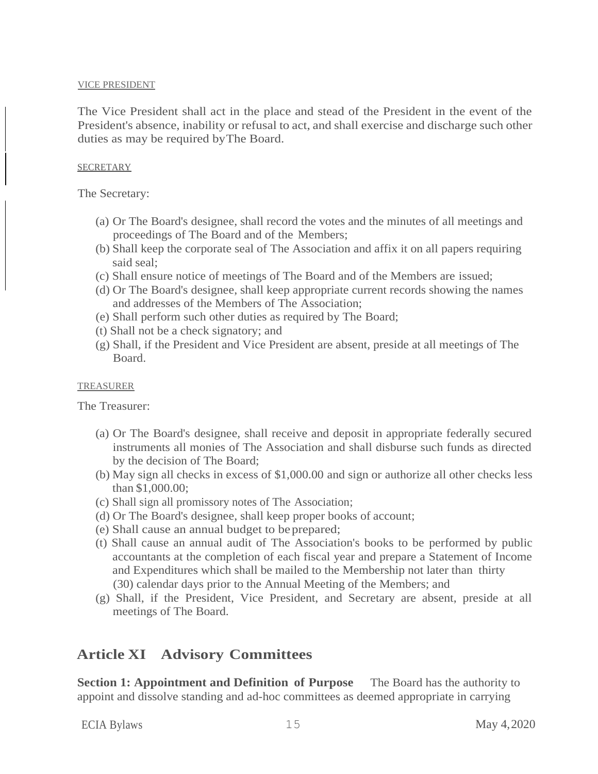#### VICE PRESIDENT

The Vice President shall act in the place and stead of the President in the event of the President's absence, inability or refusal to act, and shall exercise and discharge such other duties as may be required byThe Board.

#### **SECRETARY**

The Secretary:

- (a) Or The Board's designee, shall record the votes and the minutes of all meetings and proceedings of The Board and of the Members;
- (b) Shall keep the corporate seal of The Association and affix it on all papers requiring said seal;
- (c) Shall ensure notice of meetings of The Board and of the Members are issued;
- (d) Or The Board's designee, shall keep appropriate current records showing the names and addresses of the Members of The Association;
- (e) Shall perform such other duties as required by The Board;
- (t) Shall not be a check signatory; and
- (g) Shall, if the President and Vice President are absent, preside at all meetings of The Board.

#### **TREASURER**

The Treasurer:

- (a) Or The Board's designee, shall receive and deposit in appropriate federally secured instruments all monies of The Association and shall disburse such funds as directed by the decision of The Board;
- (b) May sign all checks in excess of \$1,000.00 and sign or authorize all other checks less than \$1,000.00;
- (c) Shall sign all promissory notes of The Association;
- (d) Or The Board's designee, shall keep proper books of account;
- (e) Shall cause an annual budget to beprepared;
- (t) Shall cause an annual audit of The Association's books to be performed by public accountants at the completion of each fiscal year and prepare a Statement of Income and Expenditures which shall be mailed to the Membership not later than thirty (30) calendar days prior to the Annual Meeting of the Members; and
- (g) Shall, if the President, Vice President, and Secretary are absent, preside at all meetings of The Board.

### **Article XI Advisory Committees**

**Section 1: Appointment and Definition of Purpose** The Board has the authority to appoint and dissolve standing and ad-hoc committees as deemed appropriate in carrying

ECIA Bylaws 15 May 4,2020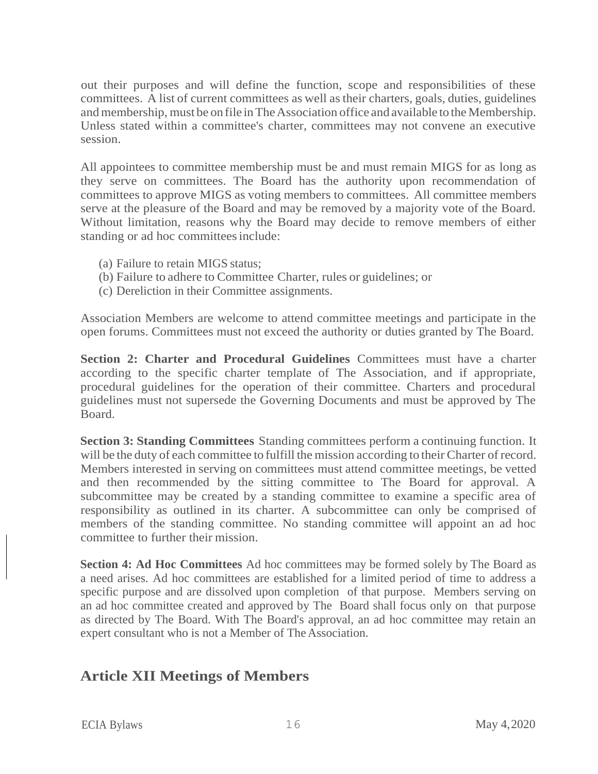out their purposes and will define the function, scope and responsibilities of these committees. A list of current committees as well astheir charters, goals, duties, guidelines and membership, must be on file in The Association office and available to the Membership. Unless stated within a committee's charter, committees may not convene an executive session.

All appointees to committee membership must be and must remain MIGS for as long as they serve on committees. The Board has the authority upon recommendation of committees to approve MIGS as voting members to committees. All committee members serve at the pleasure of the Board and may be removed by a majority vote of the Board. Without limitation, reasons why the Board may decide to remove members of either standing or ad hoc committees include:

- (a) Failure to retain MIGS status;
- (b) Failure to adhere to Committee Charter, rules or guidelines; or
- (c) Dereliction in their Committee assignments.

Association Members are welcome to attend committee meetings and participate in the open forums. Committees must not exceed the authority or duties granted by The Board.

**Section 2: Charter and Procedural Guidelines** Committees must have a charter according to the specific charter template of The Association, and if appropriate, procedural guidelines for the operation of their committee. Charters and procedural guidelines must not supersede the Governing Documents and must be approved by The Board.

**Section 3: Standing Committees** Standing committees perform a continuing function. It will be the duty of each committee to fulfill the mission according to their Charter of record. Members interested in serving on committees must attend committee meetings, be vetted and then recommended by the sitting committee to The Board for approval. A subcommittee may be created by a standing committee to examine a specific area of responsibility as outlined in its charter. A subcommittee can only be comprised of members of the standing committee. No standing committee will appoint an ad hoc committee to further their mission.

**Section 4: Ad Hoc Committees** Ad hoc committees may be formed solely by The Board as a need arises. Ad hoc committees are established for a limited period of time to address a specific purpose and are dissolved upon completion of that purpose. Members serving on an ad hoc committee created and approved by The Board shall focus only on that purpose as directed by The Board. With The Board's approval, an ad hoc committee may retain an expert consultant who is not a Member of The Association.

### **Article XII Meetings of Members**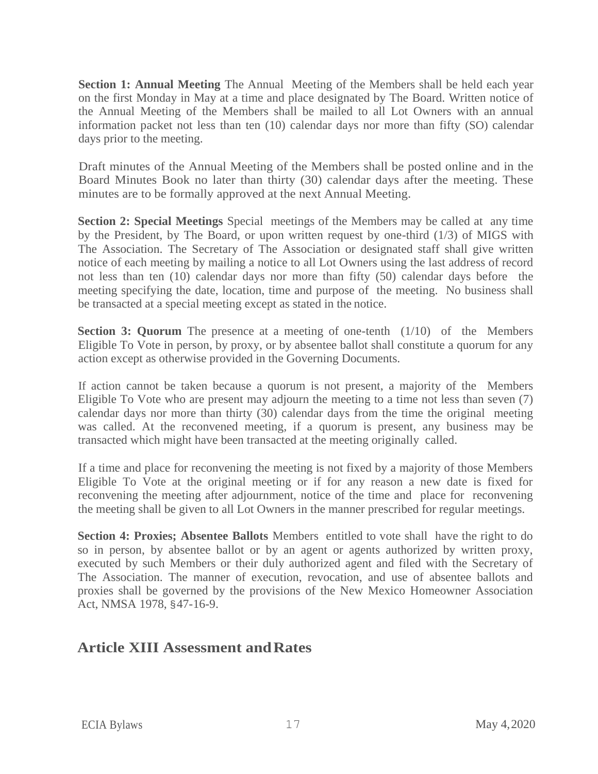**Section 1: Annual Meeting** The Annual Meeting of the Members shall be held each year on the first Monday in May at a time and place designated by The Board. Written notice of the Annual Meeting of the Members shall be mailed to all Lot Owners with an annual information packet not less than ten (10) calendar days nor more than fifty (SO) calendar days prior to the meeting.

Draft minutes of the Annual Meeting of the Members shall be posted online and in the Board Minutes Book no later than thirty (30) calendar days after the meeting. These minutes are to be formally approved at the next Annual Meeting.

**Section 2: Special Meetings** Special meetings of the Members may be called at any time by the President, by The Board, or upon written request by one-third (1/3) of MIGS with The Association. The Secretary of The Association or designated staff shall give written notice of each meeting by mailing a notice to all Lot Owners using the last address of record not less than ten (10) calendar days nor more than fifty (50) calendar days before the meeting specifying the date, location, time and purpose of the meeting. No business shall be transacted at a special meeting except as stated in the notice.

**Section 3: Quorum** The presence at a meeting of one-tenth (1/10) of the Members Eligible To Vote in person, by proxy, or by absentee ballot shall constitute a quorum for any action except as otherwise provided in the Governing Documents.

If action cannot be taken because a quorum is not present, a majority of the Members Eligible To Vote who are present may adjourn the meeting to a time not less than seven (7) calendar days nor more than thirty (30) calendar days from the time the original meeting was called. At the reconvened meeting, if a quorum is present, any business may be transacted which might have been transacted at the meeting originally called.

If a time and place for reconvening the meeting is not fixed by a majority of those Members Eligible To Vote at the original meeting or if for any reason a new date is fixed for reconvening the meeting after adjournment, notice of the time and place for reconvening the meeting shall be given to all Lot Owners in the manner prescribed for regular meetings.

**Section 4: Proxies; Absentee Ballots** Members entitled to vote shall have the right to do so in person, by absentee ballot or by an agent or agents authorized by written proxy, executed by such Members or their duly authorized agent and filed with the Secretary of The Association. The manner of execution, revocation, and use of absentee ballots and proxies shall be governed by the provisions of the New Mexico Homeowner Association Act, NMSA 1978, §47-16-9.

### **Article XIII Assessment andRates**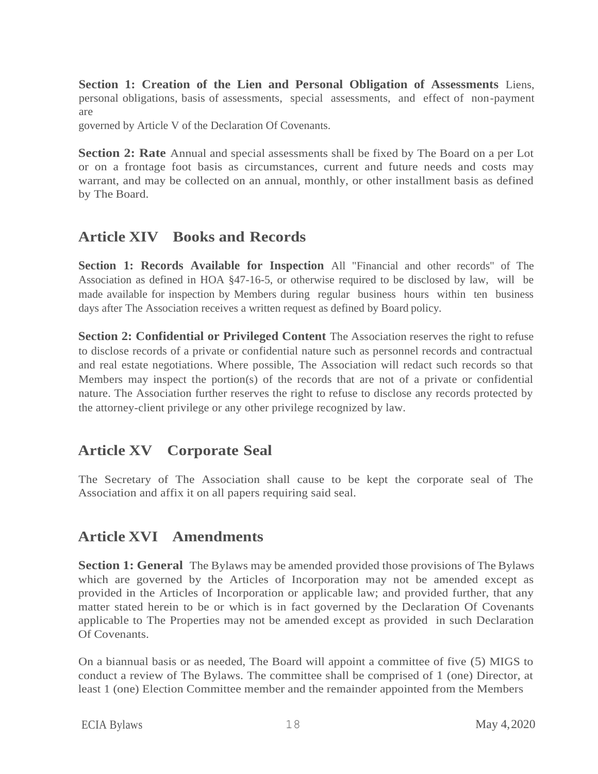**Section 1: Creation of the Lien and Personal Obligation of Assessments** Liens, personal obligations, basis of assessments, special assessments, and effect of non-payment are

governed by Article V of the Declaration Of Covenants.

**Section 2: Rate** Annual and special assessments shall be fixed by The Board on a per Lot or on a frontage foot basis as circumstances, current and future needs and costs may warrant, and may be collected on an annual, monthly, or other installment basis as defined by The Board.

### **Article XIV Books and Records**

**Section 1: Records Available for Inspection** All "Financial and other records" of The Association as defined in HOA §47-16-5, or otherwise required to be disclosed by law, will be made available for inspection by Members during regular business hours within ten business days after The Association receives a written request as defined by Board policy.

**Section 2: Confidential or Privileged Content** The Association reserves the right to refuse to disclose records of a private or confidential nature such as personnel records and contractual and real estate negotiations. Where possible, The Association will redact such records so that Members may inspect the portion(s) of the records that are not of a private or confidential nature. The Association further reserves the right to refuse to disclose any records protected by the attorney-client privilege or any other privilege recognized by law.

### **Article XV Corporate Seal**

The Secretary of The Association shall cause to be kept the corporate seal of The Association and affix it on all papers requiring said seal.

### **Article XVI Amendments**

**Section 1: General** The Bylaws may be amended provided those provisions of The Bylaws which are governed by the Articles of Incorporation may not be amended except as provided in the Articles of Incorporation or applicable law; and provided further, that any matter stated herein to be or which is in fact governed by the Declaration Of Covenants applicable to The Properties may not be amended except as provided in such Declaration Of Covenants.

On a biannual basis or as needed, The Board will appoint a committee of five (5) MIGS to conduct a review of The Bylaws. The committee shall be comprised of 1 (one) Director, at least 1 (one) Election Committee member and the remainder appointed from the Members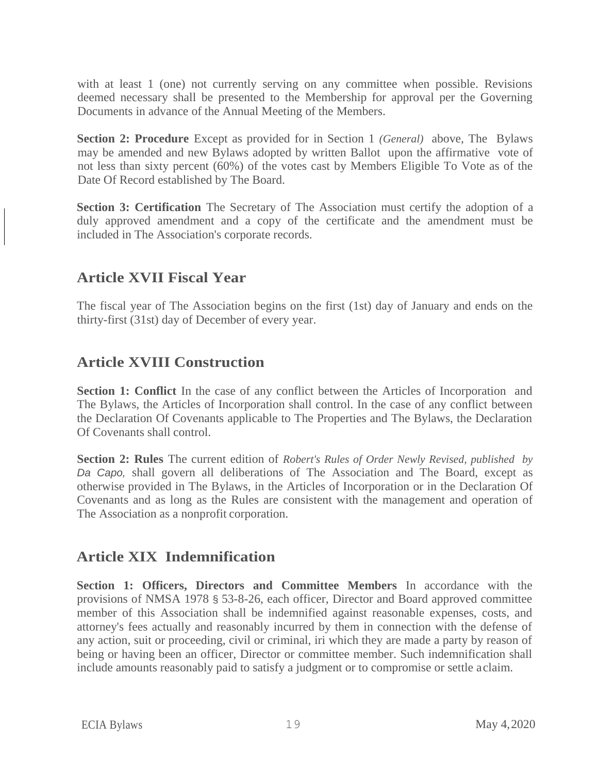with at least 1 (one) not currently serving on any committee when possible. Revisions deemed necessary shall be presented to the Membership for approval per the Governing Documents in advance of the Annual Meeting of the Members.

**Section 2: Procedure** Except as provided for in Section 1 *(General)* above, The Bylaws may be amended and new Bylaws adopted by written Ballot upon the affirmative vote of not less than sixty percent (60%) of the votes cast by Members Eligible To Vote as of the Date Of Record established by The Board.

**Section 3: Certification** The Secretary of The Association must certify the adoption of a duly approved amendment and a copy of the certificate and the amendment must be included in The Association's corporate records.

### **Article XVII Fiscal Year**

The fiscal year of The Association begins on the first (1st) day of January and ends on the thirty-first (31st) day of December of every year.

### **Article XVIII Construction**

**Section 1: Conflict** In the case of any conflict between the Articles of Incorporation and The Bylaws, the Articles of Incorporation shall control. In the case of any conflict between the Declaration Of Covenants applicable to The Properties and The Bylaws, the Declaration Of Covenants shall control.

**Section 2: Rules** The current edition of *Robert's Rules of Order Newly Revised, published by Da Capo,* shall govern all deliberations of The Association and The Board, except as otherwise provided in The Bylaws, in the Articles of Incorporation or in the Declaration Of Covenants and as long as the Rules are consistent with the management and operation of The Association as a nonprofit corporation.

### **Article XIX Indemnification**

**Section 1: Officers, Directors and Committee Members** In accordance with the provisions of NMSA 1978 § 53-8-26, each officer, Director and Board approved committee member of this Association shall be indemnified against reasonable expenses, costs, and attorney's fees actually and reasonably incurred by them in connection with the defense of any action, suit or proceeding, civil or criminal, iri which they are made a party by reason of being or having been an officer, Director or committee member. Such indemnification shall include amounts reasonably paid to satisfy a judgment or to compromise or settle aclaim.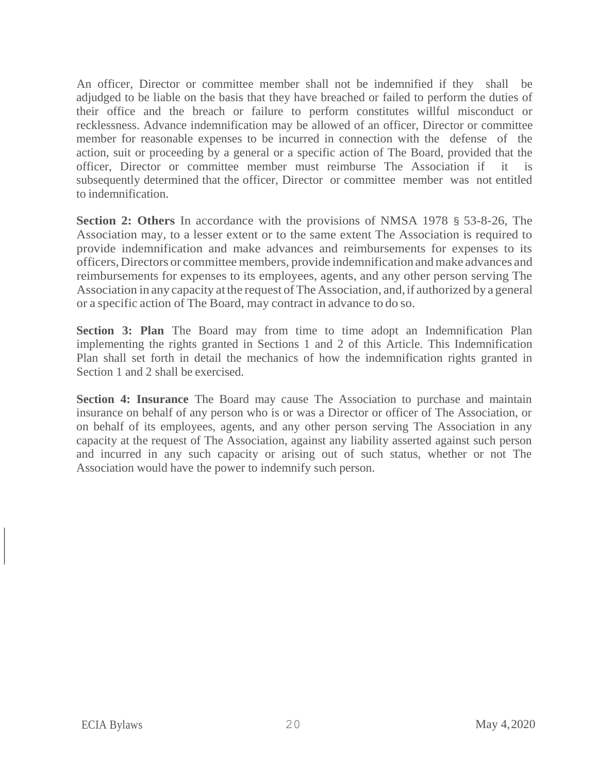An officer, Director or committee member shall not be indemnified if they shall be adjudged to be liable on the basis that they have breached or failed to perform the duties of their office and the breach or failure to perform constitutes willful misconduct or recklessness. Advance indemnification may be allowed of an officer, Director or committee member for reasonable expenses to be incurred in connection with the defense of the action, suit or proceeding by a general or a specific action of The Board, provided that the officer, Director or committee member must reimburse The Association if it is subsequently determined that the officer, Director or committee member was not entitled to indemnification.

**Section 2: Others** In accordance with the provisions of NMSA 1978 § 53-8-26, The Association may, to a lesser extent or to the same extent The Association is required to provide indemnification and make advances and reimbursements for expenses to its officers,Directors or committee members, provide indemnification andmake advances and reimbursements for expenses to its employees, agents, and any other person serving The Association in any capacity at the request of The Association, and, if authorized by a general or a specific action of The Board, may contract in advance to do so.

**Section 3: Plan** The Board may from time to time adopt an Indemnification Plan implementing the rights granted in Sections 1 and 2 of this Article. This Indemnification Plan shall set forth in detail the mechanics of how the indemnification rights granted in Section 1 and 2 shall be exercised.

**Section 4: Insurance** The Board may cause The Association to purchase and maintain insurance on behalf of any person who is or was a Director or officer of The Association, or on behalf of its employees, agents, and any other person serving The Association in any capacity at the request of The Association, against any liability asserted against such person and incurred in any such capacity or arising out of such status, whether or not The Association would have the power to indemnify such person.